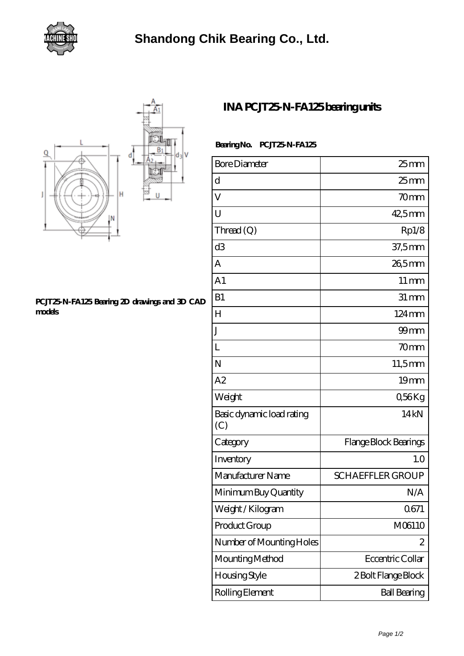

## **[Shandong Chik Bearing Co., Ltd.](https://m.harstorage.com)**



## **[PCJT25-N-FA125 Bearing 2D drawings and 3D CAD](https://m.harstorage.com/pic-346986.html) [models](https://m.harstorage.com/pic-346986.html)**

## **[INA PCJT25-N-FA125 bearing units](https://m.harstorage.com/ina-pcjt25-n-fa125-bearing/)**

## **Bearing No. PCJT25-N-FA125**

| <b>Bore Diameter</b>             | $25$ mm                 |
|----------------------------------|-------------------------|
| d                                | $25$ mm                 |
| V                                | 70 <sub>mm</sub>        |
| U                                | 42,5mm                  |
| Thread (Q)                       | Rp1/8                   |
| d3                               | 37,5mm                  |
| $\mathsf{A}$                     | 26,5mm                  |
| A <sub>1</sub>                   | $11 \,\mathrm{mm}$      |
| B1                               | $31 \,\mathrm{mm}$      |
| H                                | 124mm                   |
| J                                | $99$ mm                 |
| L                                | 70mm                    |
| N                                | $11,5$ mm               |
| A2                               | 19 <sub>mm</sub>        |
| Weight                           | Q56Kg                   |
| Basic dynamic load rating<br>(C) | 14 <sub>kN</sub>        |
| Category                         | Flange Block Bearings   |
| Inventory                        | 1.0                     |
| Manufacturer Name                | <b>SCHAEFFLER GROUP</b> |
| Minimum Buy Quantity             | N/A                     |
| Weight/Kilogram                  | Q671                    |
| Product Group                    | M06110                  |
| Number of Mounting Holes         | 2                       |
| Mounting Method                  | Eccentric Collar        |
| Housing Style                    | 2 Bolt Flange Block     |
| Rolling Element                  | <b>Ball Bearing</b>     |